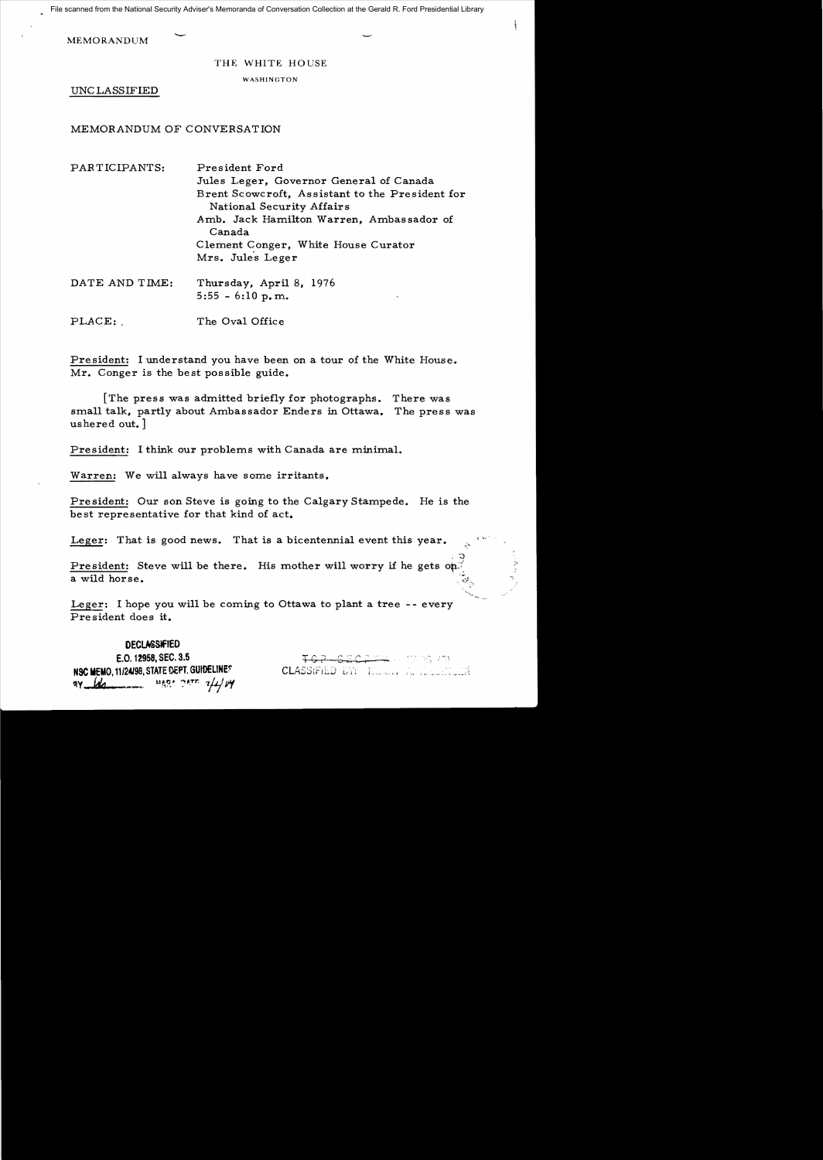File scanned from the National Security Adviser's Memoranda of Conversation Collection at the Gerald R. Ford Presidential Library

**MEMORANDUM** 

## THE WHITE HOUSE

WASHINGTON

UNC LASSIFIED

## MEMORANDUM OF CONVERSATION

| PARTICIPANTS:  | President Ford                                                               |
|----------------|------------------------------------------------------------------------------|
|                | Jules Leger, Governor General of Canada                                      |
|                | Brent Scowcroft, Assistant to the President for<br>National Security Affairs |
|                | Amb. Jack Hamilton Warren, Ambassador of<br>Canada                           |
|                | Clement Conger, White House Curator                                          |
|                | Mrs. Jules Leger                                                             |
| DATE AND TIME: | Thursday, April 8, 1976<br>$5:55 - 6:10$ p.m.<br>$\cdot$                     |

PLACE: The Oval Office

President: I understand you have been on a tour of the White House. Mr. Conger is the best possible guide.

[The press was admitted briefly for photographs. There was small talk, partly about Ambassador Enders in Ottawa. The press was ushered out.]

President: I think our problems with Canada are minimal.

Warren: We will always have some irritants.

President: Our son Steve is going to the Calgary Stampede. He is the best representative for that kind of act.

Leger: That is good news. That is a bicentennial event this year.

President: Steve will be there. His mother will worry if he gets on. a wild horse.

Leger: I hope you will be coming to Ottawa to plant a tree  $-$ - every President does it.

## **DECLASSIFIED**

E.O. 12958, SEC. 3.5 **NSC MEMO, 11/24/98, STATE DEPT. GUIDELINES** ~y \_ *fJc* ...-.. M!\R' :,~.Tr: *7/1* pIf

<del>EQETT</del> HISTORIAN CLASSIFIED DY: HERRY A HOLD CLASSIFIED

 $, 5$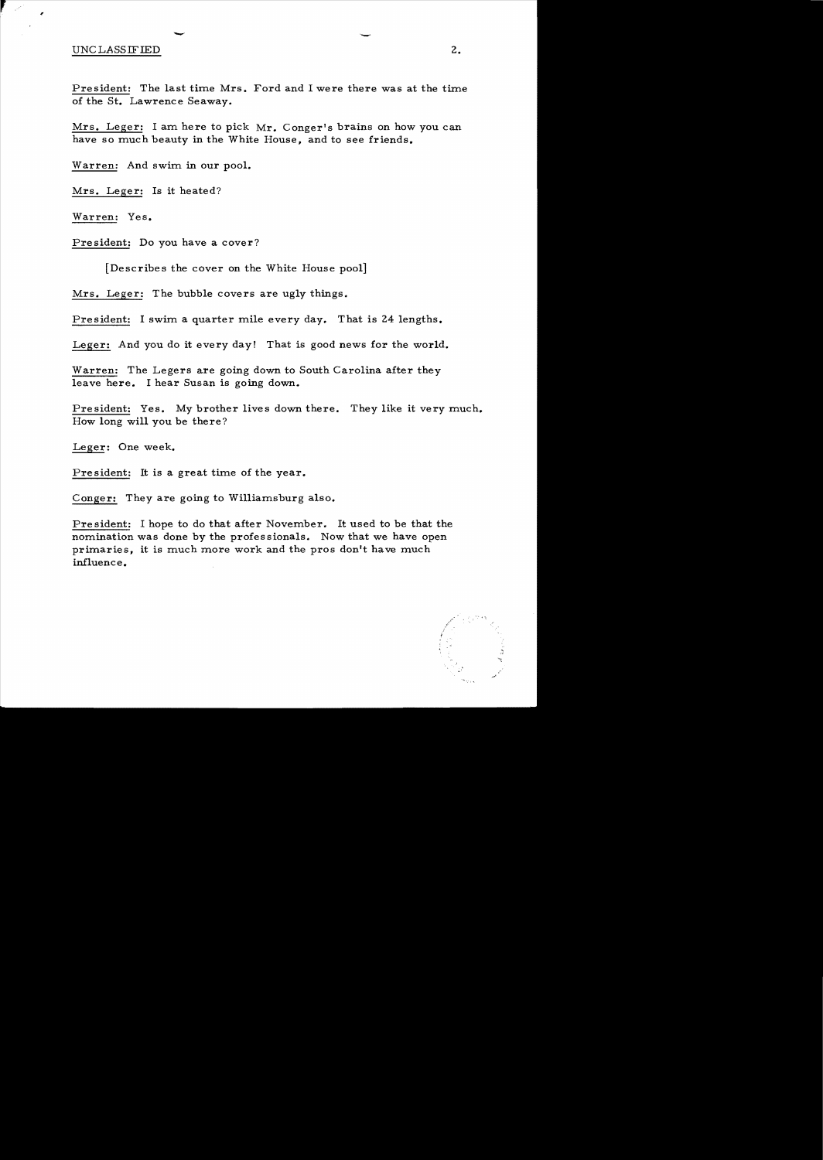## UNCLASSIFIED 2.

President: The last time Mrs. Ford and I were there was at the time of the St. Lawrence Seaway.

Mrs. Leger: I am here to pick Mr. Conger's brains on how you can have so much beauty in the White House, and to see friends.

Warren: And swim in our pool.

-

Mrs. Leger: Is it heated?

Warren: Yes.

President: Do you have a cover?

[Describes the cover on the White House pool]

Mrs. Leger: The bubble covers are ugly things.

President: I swim a quarter mile every day. That is 24 lengths.

Leger: And you do it every day! That is good news for the world.

Warren: The Legers are going down to South Carolina after they leave here. I hear Susan is going down.

President: Yes. My brother lives down there. They like it very much. How long will you be there?

Leger: One week.

President: It is a great time of the year.

Conger: They are going to Williamsburg also.

President: I hope to do that after November. It used to be that the nomination was done by the professionals. Now that we have open primaries, it is much more work and the pros don't have much influence.

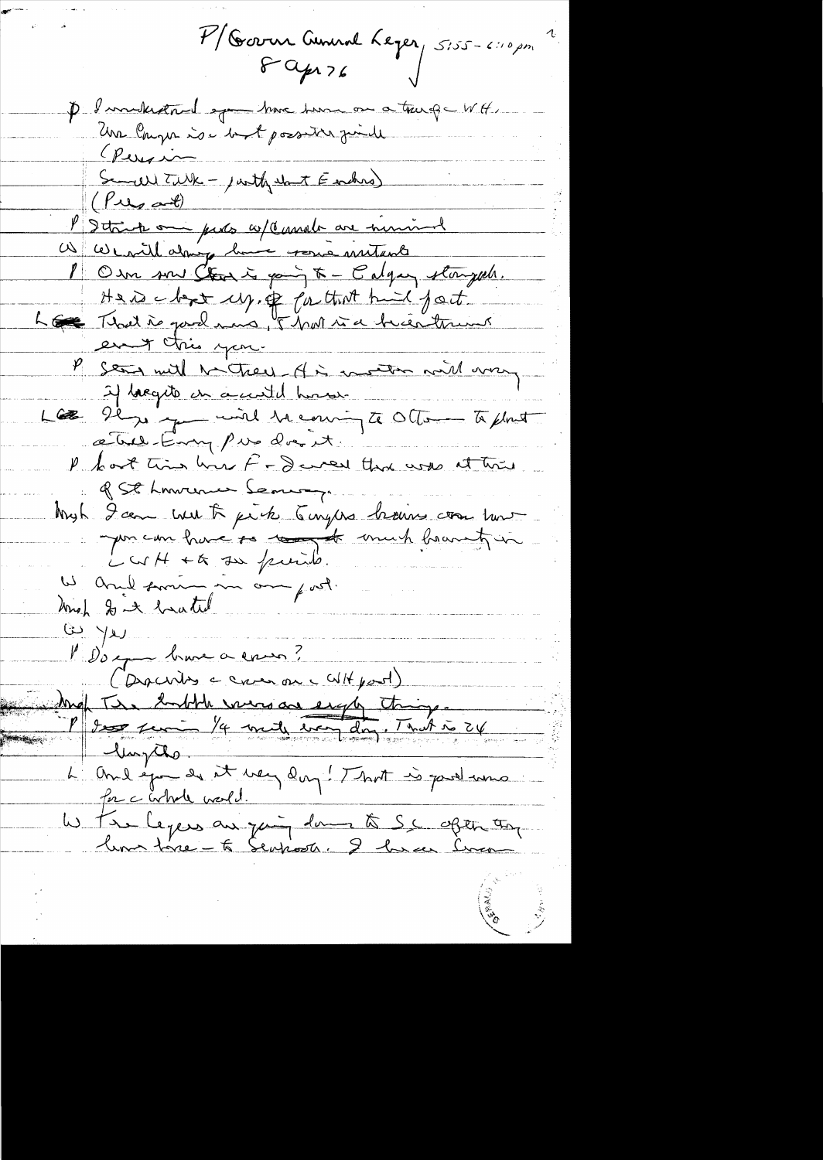7/ Garn Amend Leger 5155-6110 pm P I mikedand op have two or a tourge WH. Persia Semell Tilk - justhe and Farchers )  $(\rho_{\omega_{\alpha}\omega\theta})$ l'Ittink om parts co/Cassala are numinal W We will doing home resure mutants 1 Om son Clark is going to - Calgary storyed. Here have up, of faithof hid fact. Los That is good mans, of har was becentrums en très you. P son with methods of is mother with war 2) lacquite un a centil homos Le se je provid la courigte Otten to plant a Tues-Emmy pas du est P bot time how F - I were that was at the of St Lowence Serving Myh 9 août meut trouve de la faire de la faire de la terre de la terre Way of the to the purity.  $\omega$  yes Boy brave a commo? (Darchites = creer on c WH port) Max Tre butte every as eight things L'One epou de st very dans ! That is gard une for c whole world. lis tre legeus au join dans à S.C. open an